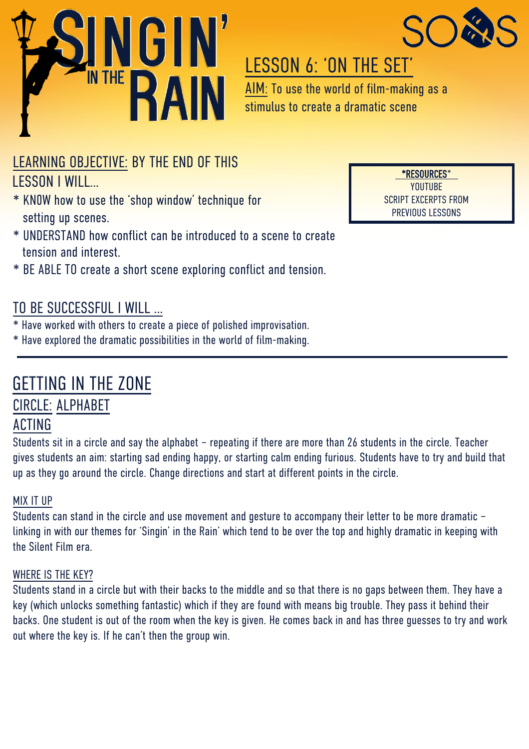



# LESSON 6: 'ON THE SET'

AIM: To use the world of film-making as a stimulus to create a dramatic scene

### LEARNING OBJECTIVE: BY THE END OF THIS

### LESSON I WILL…

- \* KN0W how to use the 'shop window' technique for setting up scenes.
- \* UNDERSTAND how conflict can be introduced to a scene to create tension and interest.
- \* BE ABLE TO create a short scene exploring conflict and tension.

### TO BE SUCCESSFUL I WILL …

- \* Have worked with others to create a piece of polished improvisation.
- \* Have explored the dramatic possibilities in the world of film-making.

# GETTING IN THE ZONE

### CIRCLE: ALPHABET

### ACTING

Students sit in a circle and say the alphabet – repeating if there are more than 26 students in the circle. Teacher gives students an aim: starting sad ending happy, or starting calm ending furious. Students have to try and build that up as they go around the circle. Change directions and start at different points in the circle.

### MIX IT UP

Students can stand in the circle and use movement and gesture to accompany their letter to be more dramatic – linking in with our themes for 'Singin' in the Rain' which tend to be over the top and highly dramatic in keeping with the Silent Film era.

#### WHERE IS THE KEY?

Students stand in a circle but with their backs to the middle and so that there is no gaps between them. They have a key (which unlocks something fantastic) which if they are found with means big trouble. They pass it behind their backs. One student is out of the room when the key is given. He comes back in and has three guesses to try and work out where the key is. If he can't then the group win.

\*RESOURCES\* YOUTUBE SCRIPT EXCERPTS FROM PREVIOUS LESSONS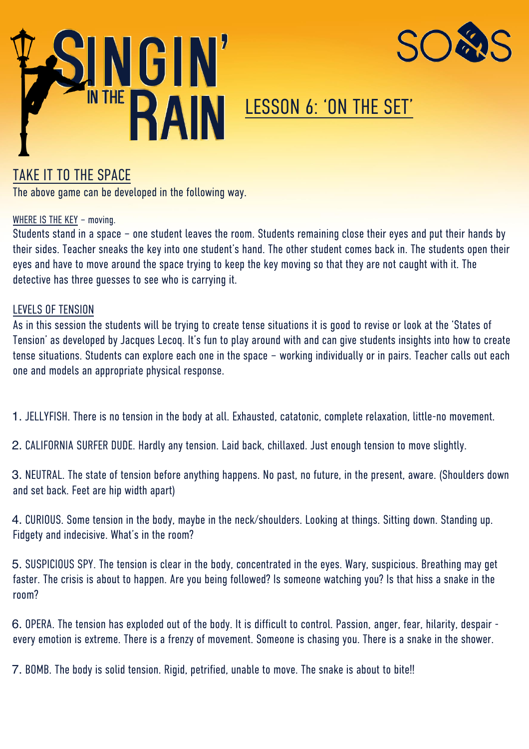



# LESSON 6: 'ON THE SET'

### TAKE IT TO THE SPACE

The above game can be developed in the following way.

#### WHERE IS THE KEY – moving.

Students stand in a space – one student leaves the room. Students remaining close their eyes and put their hands by their sides. Teacher sneaks the key into one student's hand. The other student comes back in. The students open their eyes and have to move around the space trying to keep the key moving so that they are not caught with it. The detective has three guesses to see who is carrying it.

#### LEVELS OF TENSION

As in this session the students will be trying to create tense situations it is good to revise or look at the 'States of Tension' as developed by Jacques Lecoq. It's fun to play around with and can give students insights into how to create tense situations. Students can explore each one in the space – working individually or in pairs. Teacher calls out each one and models an appropriate physical response.

1. JELLYFISH. There is no tension in the body at all. Exhausted, catatonic, complete relaxation, little-no movement.

2. CALIFORNIA SURFER DUDE. Hardly any tension. Laid back, chillaxed. Just enough tension to move slightly.

3. NEUTRAL. The state of tension before anything happens. No past, no future, in the present, aware. (Shoulders down and set back. Feet are hip width apart)

4. CURIOUS. Some tension in the body, maybe in the neck/shoulders. Looking at things. Sitting down. Standing up. Fidgety and indecisive. What's in the room?

5. SUSPICIOUS SPY. The tension is clear in the body, concentrated in the eyes. Wary, suspicious. Breathing may get faster. The crisis is about to happen. Are you being followed? Is someone watching you? Is that hiss a snake in the room?

6. OPERA. The tension has exploded out of the body. It is difficult to control. Passion, anger, fear, hilarity, despair every emotion is extreme. There is a frenzy of movement. Someone is chasing you. There is a snake in the shower.

7. BOMB. The body is solid tension. Rigid, petrified, unable to move. The snake is about to bite!!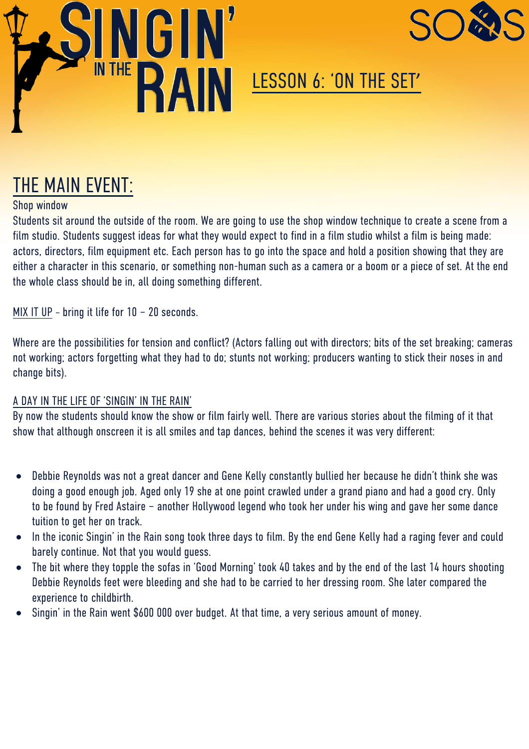



# LESSON 6: 'ON THE SET'

# THE MAIN EVENT:

#### Shop window

Students sit around the outside of the room. We are going to use the shop window technique to create a scene from a film studio. Students suggest ideas for what they would expect to find in a film studio whilst a film is being made: actors, directors, film equipment etc. Each person has to go into the space and hold a position showing that they are either a character in this scenario, or something non-human such as a camera or a boom or a piece of set. At the end the whole class should be in, all doing something different.

MIX IT UP – bring it life for 10 – 20 seconds.

Where are the possibilities for tension and conflict? (Actors falling out with directors; bits of the set breaking; cameras not working; actors forgetting what they had to do; stunts not working; producers wanting to stick their noses in and change bits).

#### A DAY IN THE LIFE OF 'SINGIN' IN THE RAIN'

By now the students should know the show or film fairly well. There are various stories about the filming of it that show that although onscreen it is all smiles and tap dances, behind the scenes it was very different:

- Debbie Reynolds was not a great dancer and Gene Kelly constantly bullied her because he didn't think she was doing a good enough job. Aged only 19 she at one point crawled under a grand piano and had a good cry. Only to be found by Fred Astaire – another Hollywood legend who took her under his wing and gave her some dance tuition to get her on track.
- In the iconic Singin' in the Rain song took three days to film. By the end Gene Kelly had a raging fever and could barely continue. Not that you would guess.
- The bit where they topple the sofas in 'Good Morning' took 40 takes and by the end of the last 14 hours shooting Debbie Reynolds feet were bleeding and she had to be carried to her dressing room. She later compared the experience to childbirth.
- Singin' in the Rain went \$600 000 over budget. At that time, a very serious amount of money.